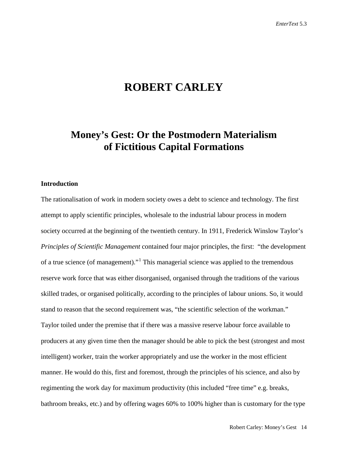# **ROBERT CARLEY**

## **Money's Gest: Or the Postmodern Materialism of Fictitious Capital Formations**

### **Introduction**

The rationalisation of work in modern society owes a debt to science and technology. The first attempt to apply scientific principles, wholesale to the industrial labour process in modern society occurred at the beginning of the twentieth century. In 1911, Frederick Winslow Taylor's *Principles of Scientific Management* contained four major principles, the first: "the development of a true science (of management)."[1](#page-20-0) This managerial science was applied to the tremendous reserve work force that was either disorganised, organised through the traditions of the various skilled trades, or organised politically, according to the principles of labour unions. So, it would stand to reason that the second requirement was, "the scientific selection of the workman." Taylor toiled under the premise that if there was a massive reserve labour force available to producers at any given time then the manager should be able to pick the best (strongest and most intelligent) worker, train the worker appropriately and use the worker in the most efficient manner. He would do this, first and foremost, through the principles of his science, and also by regimenting the work day for maximum productivity (this included "free time" e.g. breaks, bathroom breaks, etc.) and by offering wages 60% to 100% higher than is customary for the type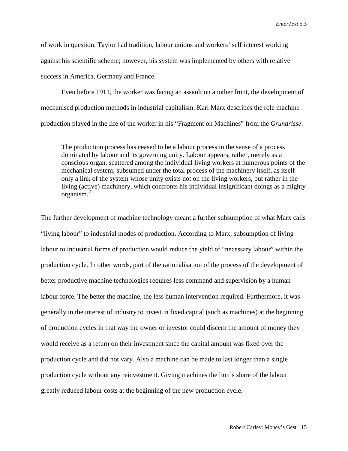of work in question. Taylor had tradition, labour unions and workers' self interest working against his scientific scheme; however, his system was implemented by others with relative success in America, Germany and France.

Even before 1911, the worker was facing an assault on another front, the development of mechanised production methods in industrial capitalism. Karl Marx describes the role machine production played in the life of the worker in his "Fragment on Machines" from the *Grundrisse*:

The production process has ceased to be a labour process in the sense of a process dominated by labour and its governing unity. Labour appears, rather, merely as a conscious organ, scattered among the individual living workers at numerous points of the mechanical system; subsumed under the total process of the machinery itself, as itself only a link of the system whose unity exists not on the living workers, but rather in the living (active) machinery, which confronts his individual insignificant doings as a mighty organism.[2](#page-20-1)

The further development of machine technology meant a further subsumption of what Marx calls "living labour" to industrial modes of production. According to Marx, subsumption of living labour to industrial forms of production would reduce the yield of "necessary labour" within the production cycle. In other words, part of the rationalisation of the process of the development of better productive machine technologies requires less command and supervision by a human labour force. The better the machine, the less human intervention required. Furthermore, it was generally in the interest of industry to invest in fixed capital (such as machines) at the beginning of production cycles in that way the owner or investor could discern the amount of money they would receive as a return on their investment since the capital amount was fixed over the production cycle and did not vary. Also a machine can be made to last longer than a single production cycle without any reinvestment. Giving machines the lion's share of the labour greatly reduced labour costs at the beginning of the new production cycle.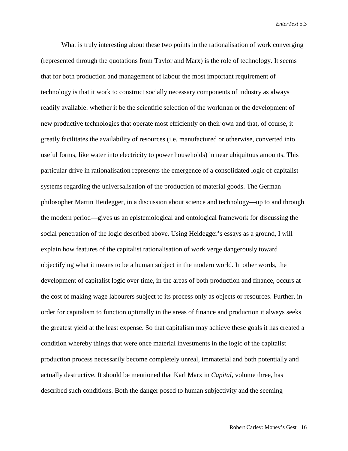What is truly interesting about these two points in the rationalisation of work converging (represented through the quotations from Taylor and Marx) is the role of technology. It seems that for both production and management of labour the most important requirement of technology is that it work to construct socially necessary components of industry as always readily available: whether it be the scientific selection of the workman or the development of new productive technologies that operate most efficiently on their own and that, of course, it greatly facilitates the availability of resources (i.e. manufactured or otherwise, converted into useful forms, like water into electricity to power households) in near ubiquitous amounts. This particular drive in rationalisation represents the emergence of a consolidated logic of capitalist systems regarding the universalisation of the production of material goods. The German philosopher Martin Heidegger, in a discussion about science and technology—up to and through the modern period—gives us an epistemological and ontological framework for discussing the social penetration of the logic described above. Using Heidegger's essays as a ground, I will explain how features of the capitalist rationalisation of work verge dangerously toward objectifying what it means to be a human subject in the modern world. In other words, the development of capitalist logic over time, in the areas of both production and finance, occurs at the cost of making wage labourers subject to its process only as objects or resources. Further, in order for capitalism to function optimally in the areas of finance and production it always seeks the greatest yield at the least expense. So that capitalism may achieve these goals it has created a condition whereby things that were once material investments in the logic of the capitalist production process necessarily become completely unreal, immaterial and both potentially and actually destructive. It should be mentioned that Karl Marx in *Capital,* volume three, has described such conditions. Both the danger posed to human subjectivity and the seeming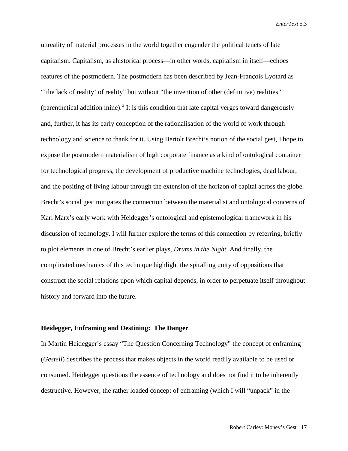unreality of material processes in the world together engender the political tenets of late capitalism. Capitalism, as ahistorical process—in other words, capitalism in itself—echoes features of the postmodern. The postmodern has been described by Jean-François Lyotard as "'the lack of reality' of reality" but without "the invention of other (definitive) realities" (parenthetical addition mine).<sup>[3](#page-20-2)</sup> It is this condition that late capital verges toward dangerously and, further, it has its early conception of the rationalisation of the world of work through technology and science to thank for it. Using Bertolt Brecht's notion of the social gest, I hope to expose the postmodern materialism of high corporate finance as a kind of ontological container for technological progress, the development of productive machine technologies, dead labour, and the positing of living labour through the extension of the horizon of capital across the globe. Brecht's social gest mitigates the connection between the materialist and ontological concerns of Karl Marx's early work with Heidegger's ontological and epistemological framework in his discussion of technology. I will further explore the terms of this connection by referring, briefly to plot elements in one of Brecht's earlier plays, *Drums in the Night*. And finally, the complicated mechanics of this technique highlight the spiralling unity of oppositions that construct the social relations upon which capital depends, in order to perpetuate itself throughout history and forward into the future.

#### **Heidegger, Enframing and Destining: The Danger**

In Martin Heidegger's essay "The Question Concerning Technology" the concept of enframing (*Gestell*) describes the process that makes objects in the world readily available to be used or consumed. Heidegger questions the essence of technology and does not find it to be inherently destructive. However, the rather loaded concept of enframing (which I will "unpack" in the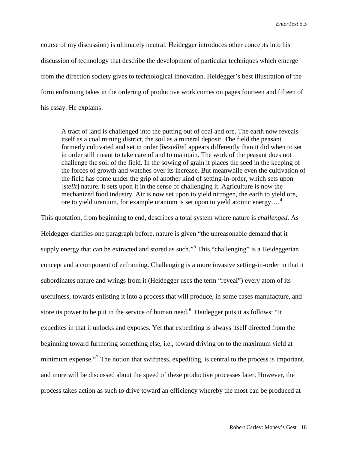course of my discussion) is ultimately neutral. Heidegger introduces other concepts into his discussion of technology that describe the development of particular techniques which emerge from the direction society gives to technological innovation. Heidegger's best illustration of the form enframing takes in the ordering of productive work comes on pages fourteen and fifteen of his essay. He explains:

A tract of land is challenged into the putting out of coal and ore. The earth now reveals itself as a coal mining district, the soil as a mineral deposit. The field the peasant formerly cultivated and set in order [*bestellte*] appears differently than it did when to set in order still meant to take care of and to maintain. The work of the peasant does not challenge the soil of the field. In the sowing of grain it places the seed in the keeping of the forces of growth and watches over its increase. But meanwhile even the cultivation of the field has come under the grip of another kind of setting-in-order, which sets upon [*stellt*] nature. It sets upon it in the sense of challenging it. Agriculture is now the mechanized food industry. Air is now set upon to yield nitrogen, the earth to yield ore, ore to yield uranium, for example uranium is set upon to yield atomic energy....<sup>[4](#page-20-3)</sup>

This quotation, from beginning to end, describes a total system where nature is *challenged*. As Heidegger clarifies one paragraph before, nature is given "the unreasonable demand that it supply energy that can be extracted and stored as such."<sup>[5](#page-20-4)</sup> This "challenging" is a Heideggerian concept and a component of enframing. Challenging is a more invasive setting-in-order in that it subordinates nature and wrings from it (Heidegger uses the term "reveal") every atom of its usefulness, towards enlisting it into a process that will produce, in some cases manufacture, and store its power to be put in the service of human need.<sup>[6](#page-20-5)</sup> Heidegger puts it as follows: "It expedites in that it unlocks and exposes. Yet that expediting is always itself directed from the beginning toward furthering something else, i.e., toward driving on to the maximum yield at minimum expense."<sup>[7](#page-20-6)</sup> The notion that swiftness, expediting, is central to the process is important, and more will be discussed about the speed of these productive processes later. However, the process takes action as such to drive toward an efficiency whereby the most can be produced at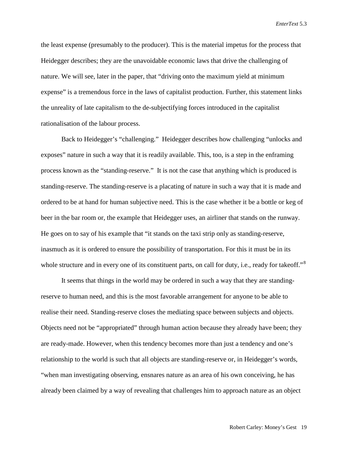the least expense (presumably to the producer). This is the material impetus for the process that Heidegger describes; they are the unavoidable economic laws that drive the challenging of nature. We will see, later in the paper, that "driving onto the maximum yield at minimum expense" is a tremendous force in the laws of capitalist production. Further, this statement links the unreality of late capitalism to the de-subjectifying forces introduced in the capitalist rationalisation of the labour process.

Back to Heidegger's "challenging." Heidegger describes how challenging "unlocks and exposes" nature in such a way that it is readily available. This, too, is a step in the enframing process known as the "standing-reserve." It is not the case that anything which is produced is standing-reserve. The standing-reserve is a placating of nature in such a way that it is made and ordered to be at hand for human subjective need. This is the case whether it be a bottle or keg of beer in the bar room or, the example that Heidegger uses, an airliner that stands on the runway. He goes on to say of his example that "it stands on the taxi strip only as standing-reserve, inasmuch as it is ordered to ensure the possibility of transportation. For this it must be in its whole structure and in every one of its constituent parts, on call for duty, i.e., ready for takeoff."<sup>[8](#page-20-7)</sup>

It seems that things in the world may be ordered in such a way that they are standingreserve to human need, and this is the most favorable arrangement for anyone to be able to realise their need. Standing-reserve closes the mediating space between subjects and objects. Objects need not be "appropriated" through human action because they already have been; they are ready-made. However, when this tendency becomes more than just a tendency and one's relationship to the world is such that all objects are standing-reserve or, in Heidegger's words, "when man investigating observing, ensnares nature as an area of his own conceiving, he has already been claimed by a way of revealing that challenges him to approach nature as an object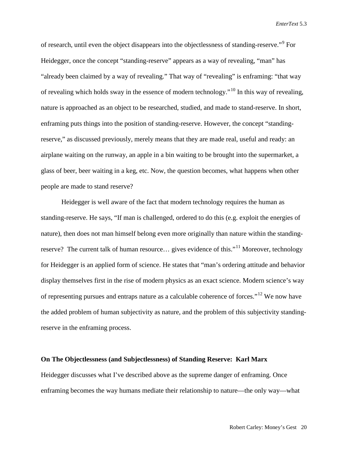of research, until even the object disappears into the objectlessness of standing-reserve."[9](#page-20-8) For Heidegger, once the concept "standing-reserve" appears as a way of revealing, "man" has "already been claimed by a way of revealing." That way of "revealing" is enframing: "that way of revealing which holds sway in the essence of modern technology."[10](#page-20-9) In this way of revealing, nature is approached as an object to be researched, studied, and made to stand-reserve. In short, enframing puts things into the position of standing-reserve. However, the concept "standingreserve," as discussed previously, merely means that they are made real, useful and ready: an airplane waiting on the runway, an apple in a bin waiting to be brought into the supermarket, a glass of beer, beer waiting in a keg, etc. Now, the question becomes, what happens when other people are made to stand reserve?

Heidegger is well aware of the fact that modern technology requires the human as standing-reserve. He says, "If man is challenged, ordered to do this (e.g. exploit the energies of nature), then does not man himself belong even more originally than nature within the standing-reserve? The current talk of human resource... gives evidence of this."<sup>[11](#page-20-10)</sup> Moreover, technology for Heidegger is an applied form of science. He states that "man's ordering attitude and behavior display themselves first in the rise of modern physics as an exact science. Modern science's way of representing pursues and entraps nature as a calculable coherence of forces."[12](#page-20-11) We now have the added problem of human subjectivity as nature, and the problem of this subjectivity standingreserve in the enframing process.

#### **On The Objectlessness (and Subjectlessness) of Standing Reserve: Karl Marx**

Heidegger discusses what I've described above as the supreme danger of enframing. Once enframing becomes the way humans mediate their relationship to nature—the only way—what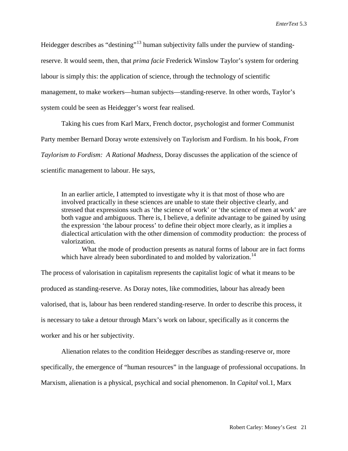Heidegger describes as "destining"<sup>[13](#page-20-12)</sup> human subjectivity falls under the purview of standingreserve. It would seem, then, that *prima facie* Frederick Winslow Taylor's system for ordering labour is simply this: the application of science, through the technology of scientific management, to make workers—human subjects—standing-reserve. In other words, Taylor's system could be seen as Heidegger's worst fear realised.

Taking his cues from Karl Marx, French doctor, psychologist and former Communist Party member Bernard Doray wrote extensively on Taylorism and Fordism. In his book, *From Taylorism to Fordism: A Rational Madness*, Doray discusses the application of the science of scientific management to labour. He says,

In an earlier article, I attempted to investigate why it is that most of those who are involved practically in these sciences are unable to state their objective clearly, and stressed that expressions such as 'the science of work' or 'the science of men at work' are both vague and ambiguous. There is, I believe, a definite advantage to be gained by using the expression 'the labour process' to define their object more clearly, as it implies a dialectical articulation with the other dimension of commodity production: the process of valorization.

What the mode of production presents as natural forms of labour are in fact forms which have already been subordinated to and molded by valorization.<sup>[14](#page-20-13)</sup>

The process of valorisation in capitalism represents the capitalist logic of what it means to be produced as standing-reserve. As Doray notes, like commodities, labour has already been valorised, that is, labour has been rendered standing-reserve. In order to describe this process, it is necessary to take a detour through Marx's work on labour, specifically as it concerns the worker and his or her subjectivity.

Alienation relates to the condition Heidegger describes as standing-reserve or, more

specifically, the emergence of "human resources" in the language of professional occupations. In

Marxism, alienation is a physical, psychical and social phenomenon. In *Capital* vol.1, Marx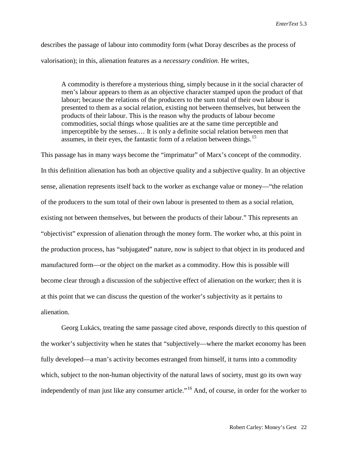describes the passage of labour into commodity form (what Doray describes as the process of valorisation); in this, alienation features as a *necessary condition*. He writes,

A commodity is therefore a mysterious thing, simply because in it the social character of men's labour appears to them as an objective character stamped upon the product of that labour; because the relations of the producers to the sum total of their own labour is presented to them as a social relation, existing not between themselves, but between the products of their labour. This is the reason why the products of labour become commodities, social things whose qualities are at the same time perceptible and imperceptible by the senses.… It is only a definite social relation between men that assumes, in their eyes, the fantastic form of a relation between things.<sup>[15](#page-20-14)</sup>

This passage has in many ways become the "imprimatur" of Marx's concept of the commodity. In this definition alienation has both an objective quality and a subjective quality. In an objective sense, alienation represents itself back to the worker as exchange value or money—"the relation of the producers to the sum total of their own labour is presented to them as a social relation, existing not between themselves, but between the products of their labour." This represents an "objectivist" expression of alienation through the money form. The worker who, at this point in the production process, has "subjugated" nature, now is subject to that object in its produced and manufactured form—or the object on the market as a commodity. How this is possible will become clear through a discussion of the subjective effect of alienation on the worker; then it is at this point that we can discuss the question of the worker's subjectivity as it pertains to alienation.

Georg Lukács, treating the same passage cited above, responds directly to this question of the worker's subjectivity when he states that "subjectively—where the market economy has been fully developed—a man's activity becomes estranged from himself, it turns into a commodity which, subject to the non-human objectivity of the natural laws of society, must go its own way independently of man just like any consumer article."<sup>[16](#page-20-15)</sup> And, of course, in order for the worker to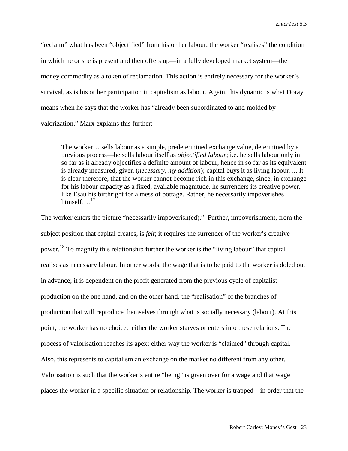"reclaim" what has been "objectified" from his or her labour, the worker "realises" the condition in which he or she is present and then offers up—in a fully developed market system—the money commodity as a token of reclamation. This action is entirely necessary for the worker's survival, as is his or her participation in capitalism as labour. Again, this dynamic is what Doray means when he says that the worker has "already been subordinated to and molded by valorization." Marx explains this further:

The worker… sells labour as a simple, predetermined exchange value, determined by a previous process—he sells labour itself as *objectified labour*; i.e. he sells labour only in so far as it already objectifies a definite amount of labour, hence in so far as its equivalent is already measured, given (*necessary*, *my addition*); capital buys it as living labour…. It is clear therefore, that the worker cannot become rich in this exchange, since, in exchange for his labour capacity as a fixed, available magnitude, he surrenders its creative power, like Esau his birthright for a mess of pottage. Rather, he necessarily impoverishes himself....<sup>[17](#page-20-16)</sup>

The worker enters the picture "necessarily impoverish(ed)." Further, impoverishment, from the subject position that capital creates, is *felt*; it requires the surrender of the worker's creative power.[18](#page-20-17) To magnify this relationship further the worker is the "living labour" that capital realises as necessary labour. In other words, the wage that is to be paid to the worker is doled out in advance; it is dependent on the profit generated from the previous cycle of capitalist production on the one hand, and on the other hand, the "realisation" of the branches of production that will reproduce themselves through what is socially necessary (labour). At this point, the worker has no choice: either the worker starves or enters into these relations. The process of valorisation reaches its apex: either way the worker is "claimed" through capital. Also, this represents to capitalism an exchange on the market no different from any other. Valorisation is such that the worker's entire "being" is given over for a wage and that wage places the worker in a specific situation or relationship. The worker is trapped—in order that the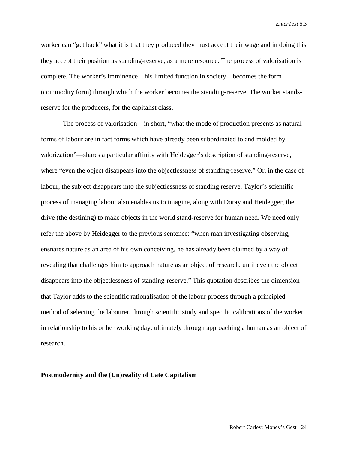worker can "get back" what it is that they produced they must accept their wage and in doing this they accept their position as standing-reserve, as a mere resource. The process of valorisation is complete. The worker's imminence—his limited function in society—becomes the form (commodity form) through which the worker becomes the standing-reserve. The worker standsreserve for the producers, for the capitalist class.

The process of valorisation—in short, "what the mode of production presents as natural forms of labour are in fact forms which have already been subordinated to and molded by valorization"—shares a particular affinity with Heidegger's description of standing-reserve, where "even the object disappears into the objectlessness of standing-reserve." Or, in the case of labour, the subject disappears into the subjectlessness of standing reserve. Taylor's scientific process of managing labour also enables us to imagine, along with Doray and Heidegger, the drive (the destining) to make objects in the world stand-reserve for human need. We need only refer the above by Heidegger to the previous sentence: "when man investigating observing, ensnares nature as an area of his own conceiving, he has already been claimed by a way of revealing that challenges him to approach nature as an object of research, until even the object disappears into the objectlessness of standing-reserve." This quotation describes the dimension that Taylor adds to the scientific rationalisation of the labour process through a principled method of selecting the labourer, through scientific study and specific calibrations of the worker in relationship to his or her working day: ultimately through approaching a human as an object of research.

#### **Postmodernity and the (Un)reality of Late Capitalism**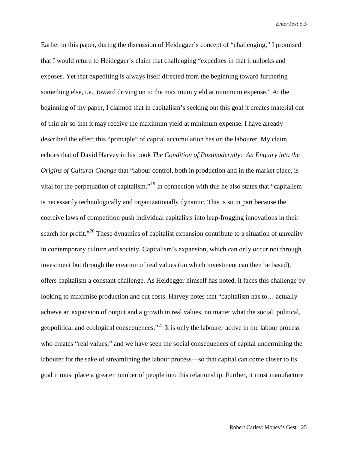Earlier in this paper, during the discussion of Heidegger's concept of "challenging," I promised that I would return to Heidegger's claim that challenging "expedites in that it unlocks and exposes. Yet that expediting is always itself directed from the beginning toward furthering something else, i.e., toward driving on to the maximum yield at minimum expense." At the beginning of my paper, I claimed that in capitalism's seeking out this goal it creates material out of thin air so that it may receive the maximum yield at minimum expense. I have already described the effect this "principle" of capital accumulation has on the labourer. My claim echoes that of David Harvey in his book *The Condition of Postmodernity: An Enquiry into the Origins of Cultural Change* that "labour control, both in production and in the market place, is vital for the perpetuation of capitalism."[19](#page-20-18) In connection with this he also states that "capitalism is necessarily technologically and organizationally dynamic. This is so in part because the coercive laws of competition push individual capitalists into leap-frogging innovations in their search for profit."<sup>[20](#page-20-19)</sup> These dynamics of capitalist expansion contribute to a situation of unreality in contemporary culture and society. Capitalism's expansion, which can only occur not through investment but through the creation of real values (on which investment can then be based), offers capitalism a constant challenge. As Heidegger himself has noted, it faces this challenge by looking to maximise production and cut costs. Harvey notes that "capitalism has to… actually achieve an expansion of output and a growth in real values, no matter what the social, political, geopolitical and ecological consequences."<sup>[21](#page-20-20)</sup> It is only the labourer active in the labour process who creates "real values," and we have seen the social consequences of capital undermining the labourer for the sake of streamlining the labour process—so that capital can come closer to its goal it must place a greater number of people into this relationship. Further, it must manufacture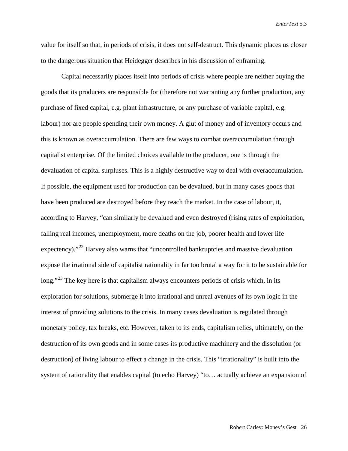value for itself so that, in periods of crisis, it does not self-destruct. This dynamic places us closer to the dangerous situation that Heidegger describes in his discussion of enframing.

Capital necessarily places itself into periods of crisis where people are neither buying the goods that its producers are responsible for (therefore not warranting any further production, any purchase of fixed capital, e.g. plant infrastructure, or any purchase of variable capital, e.g. labour) nor are people spending their own money. A glut of money and of inventory occurs and this is known as overaccumulation. There are few ways to combat overaccumulation through capitalist enterprise. Of the limited choices available to the producer, one is through the devaluation of capital surpluses. This is a highly destructive way to deal with overaccumulation. If possible, the equipment used for production can be devalued, but in many cases goods that have been produced are destroyed before they reach the market. In the case of labour, it, according to Harvey, "can similarly be devalued and even destroyed (rising rates of exploitation, falling real incomes, unemployment, more deaths on the job, poorer health and lower life expectency)."<sup>[22](#page-20-21)</sup> Harvey also warns that "uncontrolled bankruptcies and massive devaluation expose the irrational side of capitalist rationality in far too brutal a way for it to be sustainable for  $\log$ ."<sup>[23](#page-20-22)</sup> The key here is that capitalism always encounters periods of crisis which, in its exploration for solutions, submerge it into irrational and unreal avenues of its own logic in the interest of providing solutions to the crisis. In many cases devaluation is regulated through monetary policy, tax breaks, etc. However, taken to its ends, capitalism relies, ultimately, on the destruction of its own goods and in some cases its productive machinery and the dissolution (or destruction) of living labour to effect a change in the crisis. This "irrationality" is built into the system of rationality that enables capital (to echo Harvey) "to… actually achieve an expansion of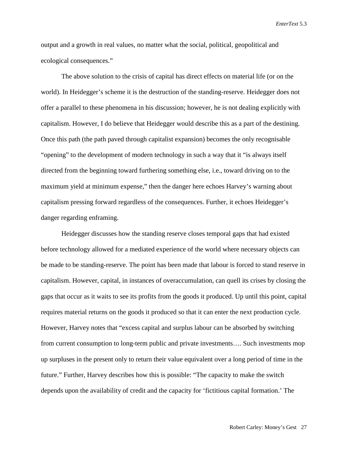output and a growth in real values, no matter what the social, political, geopolitical and ecological consequences."

The above solution to the crisis of capital has direct effects on material life (or on the world). In Heidegger's scheme it is the destruction of the standing-reserve. Heidegger does not offer a parallel to these phenomena in his discussion; however, he is not dealing explicitly with capitalism. However, I do believe that Heidegger would describe this as a part of the destining. Once this path (the path paved through capitalist expansion) becomes the only recognisable "opening" to the development of modern technology in such a way that it "is always itself directed from the beginning toward furthering something else, i.e., toward driving on to the maximum yield at minimum expense," then the danger here echoes Harvey's warning about capitalism pressing forward regardless of the consequences. Further, it echoes Heidegger's danger regarding enframing.

Heidegger discusses how the standing reserve closes temporal gaps that had existed before technology allowed for a mediated experience of the world where necessary objects can be made to be standing-reserve. The point has been made that labour is forced to stand reserve in capitalism. However, capital, in instances of overaccumulation, can quell its crises by closing the gaps that occur as it waits to see its profits from the goods it produced. Up until this point, capital requires material returns on the goods it produced so that it can enter the next production cycle. However, Harvey notes that "excess capital and surplus labour can be absorbed by switching from current consumption to long-term public and private investments…. Such investments mop up surpluses in the present only to return their value equivalent over a long period of time in the future." Further, Harvey describes how this is possible: "The capacity to make the switch depends upon the availability of credit and the capacity for 'fictitious capital formation.' The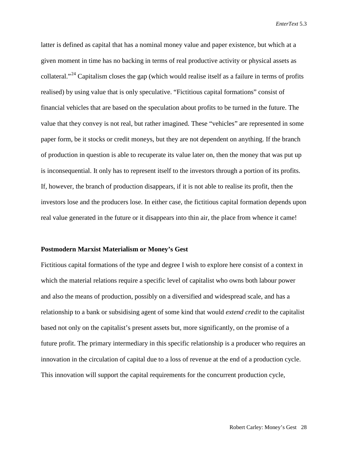latter is defined as capital that has a nominal money value and paper existence, but which at a given moment in time has no backing in terms of real productive activity or physical assets as collateral."[24](#page-20-23) Capitalism closes the gap (which would realise itself as a failure in terms of profits realised) by using value that is only speculative. "Fictitious capital formations" consist of financial vehicles that are based on the speculation about profits to be turned in the future. The value that they convey is not real, but rather imagined. These "vehicles" are represented in some paper form, be it stocks or credit moneys, but they are not dependent on anything. If the branch of production in question is able to recuperate its value later on, then the money that was put up is inconsequential. It only has to represent itself to the investors through a portion of its profits. If, however, the branch of production disappears, if it is not able to realise its profit, then the investors lose and the producers lose. In either case, the fictitious capital formation depends upon real value generated in the future or it disappears into thin air, the place from whence it came!

#### **Postmodern Marxist Materialism or Money's Gest**

Fictitious capital formations of the type and degree I wish to explore here consist of a context in which the material relations require a specific level of capitalist who owns both labour power and also the means of production, possibly on a diversified and widespread scale, and has a relationship to a bank or subsidising agent of some kind that would *extend credit* to the capitalist based not only on the capitalist's present assets but, more significantly, on the promise of a future profit. The primary intermediary in this specific relationship is a producer who requires an innovation in the circulation of capital due to a loss of revenue at the end of a production cycle. This innovation will support the capital requirements for the concurrent production cycle,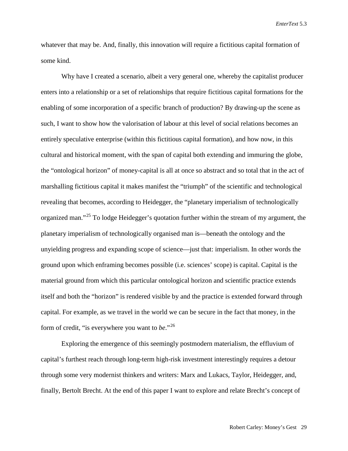whatever that may be. And, finally, this innovation will require a fictitious capital formation of some kind.

Why have I created a scenario, albeit a very general one, whereby the capitalist producer enters into a relationship or a set of relationships that require fictitious capital formations for the enabling of some incorporation of a specific branch of production? By drawing-up the scene as such, I want to show how the valorisation of labour at this level of social relations becomes an entirely speculative enterprise (within this fictitious capital formation), and how now, in this cultural and historical moment, with the span of capital both extending and immuring the globe, the "ontological horizon" of money-capital is all at once so abstract and so total that in the act of marshalling fictitious capital it makes manifest the "triumph" of the scientific and technological revealing that becomes, according to Heidegger, the "planetary imperialism of technologically organized man."<sup>[25](#page-20-24)</sup> To lodge Heidegger's quotation further within the stream of my argument, the planetary imperialism of technologically organised man is—beneath the ontology and the unyielding progress and expanding scope of science—just that: imperialism. In other words the ground upon which enframing becomes possible (i.e. sciences' scope) is capital. Capital is the material ground from which this particular ontological horizon and scientific practice extends itself and both the "horizon" is rendered visible by and the practice is extended forward through capital. For example, as we travel in the world we can be secure in the fact that money, in the form of credit, "is everywhere you want to *be*."[26](#page-20-25)

Exploring the emergence of this seemingly postmodern materialism, the effluvium of capital's furthest reach through long-term high-risk investment interestingly requires a detour through some very modernist thinkers and writers: Marx and Lukacs, Taylor, Heidegger, and, finally, Bertolt Brecht. At the end of this paper I want to explore and relate Brecht's concept of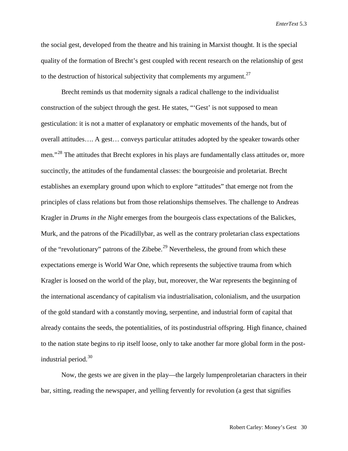the social gest, developed from the theatre and his training in Marxist thought. It is the special quality of the formation of Brecht's gest coupled with recent research on the relationship of gest to the destruction of historical subjectivity that complements my argument.<sup>[27](#page-20-26)</sup>

Brecht reminds us that modernity signals a radical challenge to the individualist construction of the subject through the gest. He states, "'Gest' is not supposed to mean gesticulation: it is not a matter of explanatory or emphatic movements of the hands, but of overall attitudes…. A gest… conveys particular attitudes adopted by the speaker towards other men."<sup>[28](#page-20-27)</sup> The attitudes that Brecht explores in his plays are fundamentally class attitudes or, more succinctly, the attitudes of the fundamental classes: the bourgeoisie and proletariat. Brecht establishes an exemplary ground upon which to explore "attitudes" that emerge not from the principles of class relations but from those relationships themselves. The challenge to Andreas Kragler in *Drums in the Night* emerges from the bourgeois class expectations of the Balickes, Murk, and the patrons of the Picadillybar, as well as the contrary proletarian class expectations of the "revolutionary" patrons of the Zibebe.<sup>[29](#page-20-28)</sup> Nevertheless, the ground from which these expectations emerge is World War One, which represents the subjective trauma from which Kragler is loosed on the world of the play, but, moreover, the War represents the beginning of the international ascendancy of capitalism via industrialisation, colonialism, and the usurpation of the gold standard with a constantly moving, serpentine, and industrial form of capital that already contains the seeds, the potentialities, of its postindustrial offspring. High finance, chained to the nation state begins to rip itself loose, only to take another far more global form in the postindustrial period.[30](#page-20-29)

Now, the gests we are given in the play—the largely lumpenproletarian characters in their bar, sitting, reading the newspaper, and yelling fervently for revolution (a gest that signifies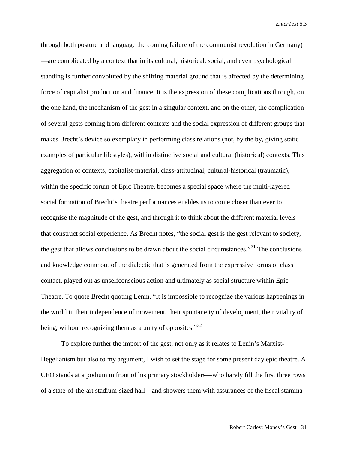through both posture and language the coming failure of the communist revolution in Germany) —are complicated by a context that in its cultural, historical, social, and even psychological standing is further convoluted by the shifting material ground that is affected by the determining force of capitalist production and finance. It is the expression of these complications through, on the one hand, the mechanism of the gest in a singular context, and on the other, the complication of several gests coming from different contexts and the social expression of different groups that makes Brecht's device so exemplary in performing class relations (not, by the by, giving static examples of particular lifestyles), within distinctive social and cultural (historical) contexts. This aggregation of contexts, capitalist-material, class-attitudinal, cultural-historical (traumatic), within the specific forum of Epic Theatre, becomes a special space where the multi-layered social formation of Brecht's theatre performances enables us to come closer than ever to recognise the magnitude of the gest, and through it to think about the different material levels that construct social experience. As Brecht notes, "the social gest is the gest relevant to society, the gest that allows conclusions to be drawn about the social circumstances.<sup>[31](#page-20-30)</sup> The conclusions and knowledge come out of the dialectic that is generated from the expressive forms of class contact, played out as unselfconscious action and ultimately as social structure within Epic Theatre. To quote Brecht quoting Lenin, "It is impossible to recognize the various happenings in the world in their independence of movement, their spontaneity of development, their vitality of being, without recognizing them as a unity of opposites."<sup>[32](#page-20-31)</sup>

To explore further the import of the gest, not only as it relates to Lenin's Marxist-Hegelianism but also to my argument, I wish to set the stage for some present day epic theatre. A CEO stands at a podium in front of his primary stockholders—who barely fill the first three rows of a state-of-the-art stadium-sized hall—and showers them with assurances of the fiscal stamina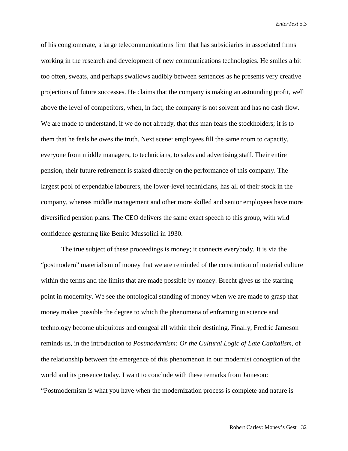of his conglomerate, a large telecommunications firm that has subsidiaries in associated firms working in the research and development of new communications technologies. He smiles a bit too often, sweats, and perhaps swallows audibly between sentences as he presents very creative projections of future successes. He claims that the company is making an astounding profit, well above the level of competitors, when, in fact, the company is not solvent and has no cash flow. We are made to understand, if we do not already, that this man fears the stockholders; it is to them that he feels he owes the truth. Next scene: employees fill the same room to capacity, everyone from middle managers, to technicians, to sales and advertising staff. Their entire pension, their future retirement is staked directly on the performance of this company. The largest pool of expendable labourers, the lower-level technicians, has all of their stock in the company, whereas middle management and other more skilled and senior employees have more diversified pension plans. The CEO delivers the same exact speech to this group, with wild confidence gesturing like Benito Mussolini in 1930.

The true subject of these proceedings is money; it connects everybody. It is via the "postmodern" materialism of money that we are reminded of the constitution of material culture within the terms and the limits that are made possible by money. Brecht gives us the starting point in modernity. We see the ontological standing of money when we are made to grasp that money makes possible the degree to which the phenomena of enframing in science and technology become ubiquitous and congeal all within their destining. Finally, Fredric Jameson reminds us, in the introduction to *Postmodernism: Or the Cultural Logic of Late Capitalism,* of the relationship between the emergence of this phenomenon in our modernist conception of the world and its presence today. I want to conclude with these remarks from Jameson: "Postmodernism is what you have when the modernization process is complete and nature is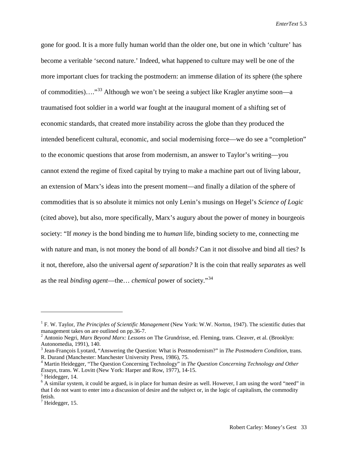gone for good. It is a more fully human world than the older one, but one in which 'culture' has become a veritable 'second nature.' Indeed, what happened to culture may well be one of the more important clues for tracking the postmodern: an immense dilation of its sphere (the sphere of commodities)…."[33](#page-20-32) Although we won't be seeing a subject like Kragler anytime soon—a traumatised foot soldier in a world war fought at the inaugural moment of a shifting set of economic standards, that created more instability across the globe than they produced the intended beneficent cultural, economic, and social modernising force—we do see a "completion" to the economic questions that arose from modernism, an answer to Taylor's writing—you cannot extend the regime of fixed capital by trying to make a machine part out of living labour, an extension of Marx's ideas into the present moment—and finally a dilation of the sphere of commodities that is so absolute it mimics not only Lenin's musings on Hegel's *Science of Logic* (cited above), but also, more specifically, Marx's augury about the power of money in bourgeois society: "If *money* is the bond binding me to *human* life, binding society to me, connecting me with nature and man, is not money the bond of all *bonds?* Can it not dissolve and bind all ties? Is it not, therefore, also the universal *agent of separation?* It is the coin that really *separates* as well as the real *binding agent*—the… *chemical* power of society."[34](#page-20-33)

 $\overline{a}$ 

<sup>1</sup> F. W. Taylor, *The Principles of Scientific Management* (New York: W.W. Norton, 1947). The scientific duties that management takes on are outlined on pp.36-7.<br><sup>2</sup> Antonio Negri, *Marx Beyond Marx: Lessons on* The Grundrisse, ed. Fleming, trans. Cleaver, et al. (Brooklyn:

Autonomedia, 1991), 140.<br><sup>3</sup> Jean-François Lyotard, "Answering the Question: What is Postmodernism?" in *The Postmodern Condition*, trans.<br>R. Durand (Manchester: Manchester University Press, 1986), 75.

<sup>&</sup>lt;sup>4</sup> Martin Heidegger, "The Question Concerning Technology" in *The Question Concerning Technology and Other Essays*, trans. W. Lovitt (New York: Harper and Row, 1977), 14-15.<br><sup>5</sup> Heidegger, 14.

<sup>&</sup>lt;sup>6</sup> A similar system, it could be argued, is in place for human desire as well. However, I am using the word "need" in that I do not want to enter into a discussion of desire and the subject or, in the logic of capitalism, the commodity fetish.

 $<sup>7</sup>$  Heidegger, 15.</sup>